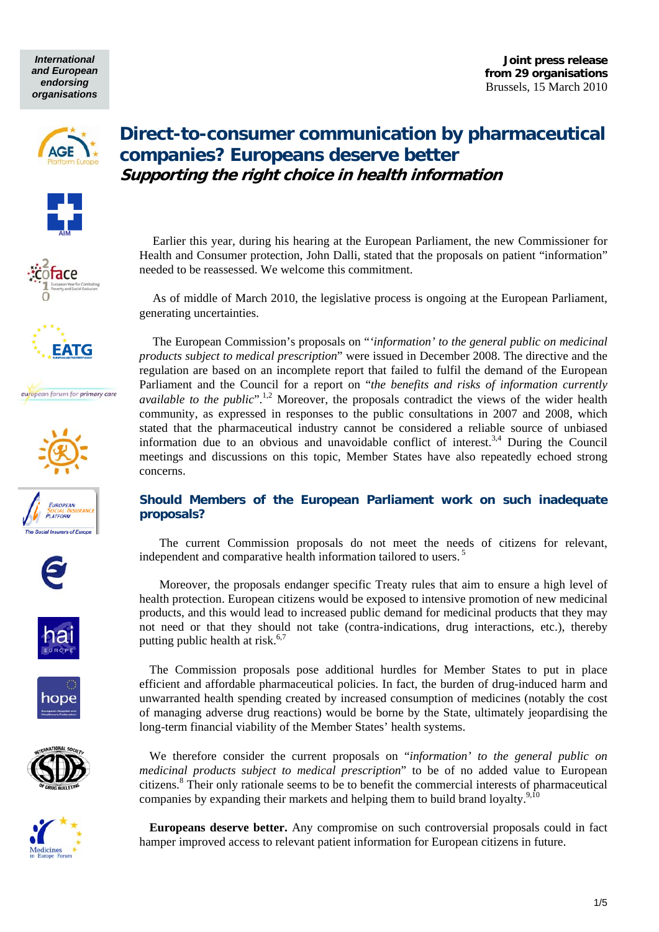*International and European endorsing organisations* 

**Joint press release from 29 organisations**  Brussels, 15 March 2010

























## **Direct-to-consumer communication by pharmaceutical companies? Europeans deserve better Supporting the right choice in health information**

Earlier this year, during his hearing at the European Parliament, the new Commissioner for Health and Consumer protection, John Dalli, stated that the proposals on patient "information" needed to be reassessed. We welcome this commitment.

As of middle of March 2010, the legislative process is ongoing at the European Parliament, generating uncertainties.

The European Commission's proposals on "*'information' to the general public on medicinal products subject to medical prescription*" were issued in December 2008. The directive and the regulation are based on an incomplete report that failed to fulfil the demand of the European Parliament and the Council for a report on "*the benefits and risks of information currently available to the public*".<sup>1,2</sup> Moreover, the proposals contradict the views of the wider health community, as expressed in responses to the public consultations in 2007 and 2008, which stated that the pharmaceutical industry cannot be considered a reliable source of unbiased information due to an obvious and unavoidable conflict of interest.<sup>3,4</sup> During the Council meetings and discussions on this topic, Member States have also repeatedly echoed strong concerns.

### **Should Members of the European Parliament work on such inadequate proposals?**

The current Commission proposals do not meet the needs of citizens for relevant, independent and comparative health information tailored to users.<sup>5</sup>

Moreover, the proposals endanger specific Treaty rules that aim to ensure a high level of health protection. European citizens would be exposed to intensive promotion of new medicinal products, and this would lead to increased public demand for medicinal products that they may not need or that they should not take (contra-indications, drug interactions, etc.), thereby putting public health at risk. $6,7$ 

The Commission proposals pose additional hurdles for Member States to put in place efficient and affordable pharmaceutical policies. In fact, the burden of drug-induced harm and unwarranted health spending created by increased consumption of medicines (notably the cost of managing adverse drug reactions) would be borne by the State, ultimately jeopardising the long-term financial viability of the Member States' health systems.

We therefore consider the current proposals on "*information' to the general public on medicinal products subject to medical prescription*" to be of no added value to European citizens.<sup>8</sup> Their only rationale seems to be to benefit the commercial interests of pharmaceutical companies by expanding their markets and helping them to build brand loyalty. $9,10$ 

**Europeans deserve better.** Any compromise on such controversial proposals could in fact hamper improved access to relevant patient information for European citizens in future.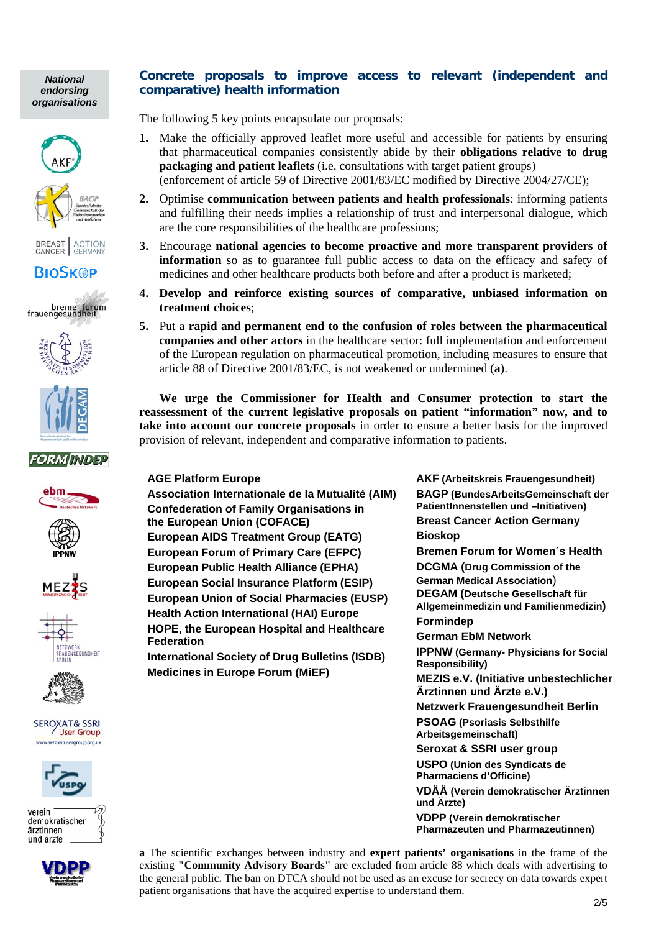*National endorsing organisations* 







# **BIOSK®P**

bremer forum<br>frauengesundheit





## **FORMINDEP**













verein demokratischer ärztinnen und ärzte

1



## **Concrete proposals to improve access to relevant (independent and comparative) health information**

The following 5 key points encapsulate our proposals:

- **1.** Make the officially approved leaflet more useful and accessible for patients by ensuring that pharmaceutical companies consistently abide by their **obligations relative to drug packaging and patient leaflets** (i.e. consultations with target patient groups) (enforcement of article 59 of Directive 2001/83/EC modified by Directive 2004/27/CE);
- **2.** Optimise **communication between patients and health professionals**: informing patients and fulfilling their needs implies a relationship of trust and interpersonal dialogue, which are the core responsibilities of the healthcare professions;
- **3.** Encourage **national agencies to become proactive and more transparent providers of information** so as to guarantee full public access to data on the efficacy and safety of medicines and other healthcare products both before and after a product is marketed;
- **4. Develop and reinforce existing sources of comparative, unbiased information on treatment choices**;
- **5.** Put a **rapid and permanent end to the confusion of roles between the pharmaceutical companies and other actors** in the healthcare sector: full implementation and enforcement of the European regulation on pharmaceutical promotion, including measures to ensure that article 88 of Directive 2001/83/EC, is not weakened or undermined (**a**).

**We urge the Commissioner for Health and Consumer protection to start the reassessment of the current legislative proposals on patient "information" now, and to take into account our concrete proposals** in order to ensure a better basis for the improved provision of relevant, independent and comparative information to patients.

### **AGE Platform Europe**

**Association Internationale de la Mutualité (AIM) Confederation of Family Organisations in the European Union (COFACE) European AIDS Treatment Group (EATG) European Forum of Primary Care (EFPC) European Public Health Alliance (EPHA) European Social Insurance Platform (ESIP) European Union of Social Pharmacies (EUSP) Health Action International (HAI) Europe HOPE, the European Hospital and Healthcare Federation** 

**International Society of Drug Bulletins (ISDB) Medicines in Europe Forum (MiEF)** 

**AKF (Arbeitskreis Frauengesundheit) BAGP (BundesArbeitsGemeinschaft der PatientInnenstellen und –Initiativen) Breast Cancer Action Germany Bioskop Bremen Forum for Women´s Health DCGMA (Drug Commission of the German Medical Association**) **DEGAM (Deutsche Gesellschaft für Allgemeinmedizin und Familienmedizin) Formindep German EbM Network IPPNW (Germany- Physicians for Social Responsibility) MEZIS e.V. (Initiative unbestechlicher Ärztinnen und Ärzte e.V.) Netzwerk Frauengesundheit Berlin PSOAG (Psoriasis Selbsthilfe Arbeitsgemeinschaft) Seroxat & SSRI user group USPO (Union des Syndicats de Pharmaciens d'Officine) VDÄÄ (Verein demokratischer Ärztinnen und Ärzte) VDPP (Verein demokratischer Pharmazeuten und Pharmazeutinnen)** 

**a** The scientific exchanges between industry and **expert patients' organisations** in the frame of the existing **"Community Advisory Boards"** are excluded from article 88 which deals with advertising to the general public. The ban on DTCA should not be used as an excuse for secrecy on data towards expert patient organisations that have the acquired expertise to understand them.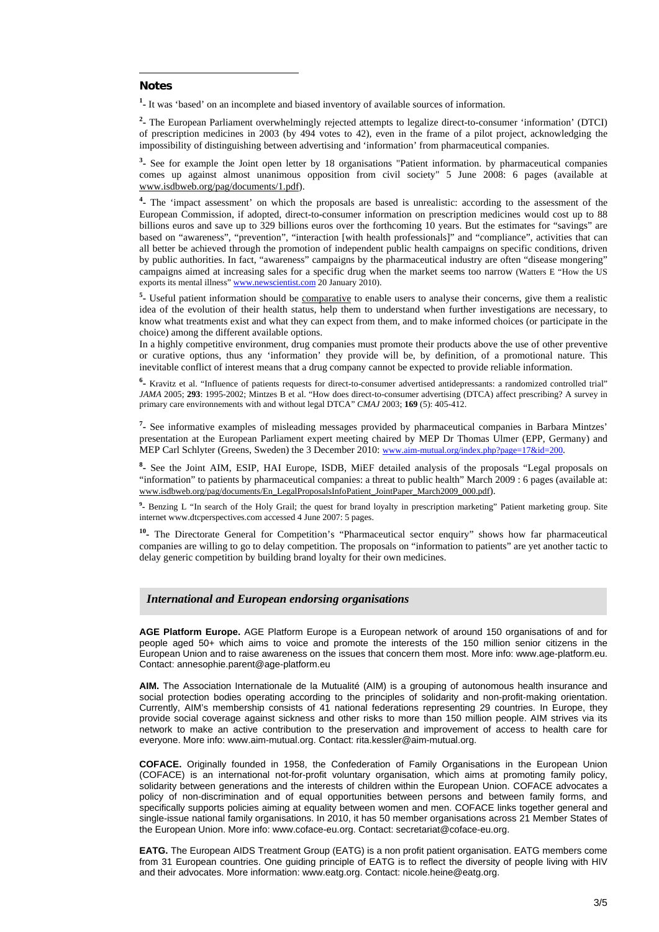#### **Notes**

1

<sup>1</sup> It was 'based' on an incomplete and biased inventory of available sources of information.

**2 -** The European Parliament overwhelmingly rejected attempts to legalize direct-to-consumer 'information' (DTCI) of prescription medicines in 2003 (by 494 votes to 42), even in the frame of a pilot project, acknowledging the impossibility of distinguishing between advertising and 'information' from pharmaceutical companies.

**3 -** See for example the Joint open letter by 18 organisations "Patient information. by pharmaceutical companies comes up against almost unanimous opposition from civil society" 5 June 2008: 6 pages (available at www.isdbweb.org/pag/documents/1.pdf).

**4 -** The 'impact assessment' on which the proposals are based is unrealistic: according to the assessment of the European Commission, if adopted, direct-to-consumer information on prescription medicines would cost up to 88 billions euros and save up to 329 billions euros over the forthcoming 10 years. But the estimates for "savings" are based on "awareness", "prevention", "interaction [with health professionals]" and "compliance", activities that can all better be achieved through the promotion of independent public health campaigns on specific conditions, driven by public authorities. In fact, "awareness" campaigns by the pharmaceutical industry are often "disease mongering" campaigns aimed at increasing sales for a specific drug when the market seems too narrow (Watters E "How the US exports its mental illness" www.newscientist.com 20 January 2010).

<sup>5</sup> Useful patient information should be comparative to enable users to analyse their concerns, give them a realistic idea of the evolution of their health status, help them to understand when further investigations are necessary, to know what treatments exist and what they can expect from them, and to make informed choices (or participate in the choice) among the different available options.

In a highly competitive environment, drug companies must promote their products above the use of other preventive or curative options, thus any 'information' they provide will be, by definition, of a promotional nature. This inevitable conflict of interest means that a drug company cannot be expected to provide reliable information.

**6 -** Kravitz et al. "Influence of patients requests for direct-to-consumer advertised antidepressants: a randomized controlled trial" *JAMA* 2005; **293**: 1995-2002; Mintzes B et al. "How does direct-to-consumer advertising (DTCA) affect prescribing? A survey in primary care environnements with and without legal DTCA" *CMAJ* 2003; **169** (5): 405-412.

**7 -** See informative examples of misleading messages provided by pharmaceutical companies in Barbara Mintzes' presentation at the European Parliament expert meeting chaired by MEP Dr Thomas Ulmer (EPP, Germany) and MEP Carl Schlyter (Greens, Sweden) the 3 December 2010: www.aim-mutual.org/index.php?page=17&id=200.

<sup>8</sup> See the Joint AIM, ESIP, HAI Europe, ISDB, MiEF detailed analysis of the proposals "Legal proposals on "information" to patients by pharmaceutical companies: a threat to public health" March 2009 : 6 pages (available at: www.isdbweb.org/pag/documents/En\_LegalProposalsInfoPatient\_JointPaper\_March2009\_000.pdf).

<sup>9</sup> Benzing L "In search of the Holy Grail; the quest for brand loyalty in prescription marketing" Patient marketing group. Site internet www.dtcperspectives.com accessed 4 June 2007: 5 pages.

**10-** The Directorate General for Competition's "Pharmaceutical sector enquiry" shows how far pharmaceutical companies are willing to go to delay competition. The proposals on "information to patients" are yet another tactic to delay generic competition by building brand loyalty for their own medicines.

#### *International and European endorsing organisations*

**AGE Platform Europe.** AGE Platform Europe is a European network of around 150 organisations of and for people aged 50+ which aims to voice and promote the interests of the 150 million senior citizens in the European Union and to raise awareness on the issues that concern them most. More info: www.age-platform.eu. Contact: annesophie.parent@age-platform.eu

**AIM.** The Association Internationale de la Mutualité (AIM) is a grouping of autonomous health insurance and social protection bodies operating according to the principles of solidarity and non-profit-making orientation. Currently, AIM's membership consists of 41 national federations representing 29 countries. In Europe, they provide social coverage against sickness and other risks to more than 150 million people. AIM strives via its network to make an active contribution to the preservation and improvement of access to health care for everyone. More info: www.aim-mutual.org. Contact: rita.kessler@aim-mutual.org.

**COFACE.** Originally founded in 1958, the Confederation of Family Organisations in the European Union (COFACE) is an international not-for-profit voluntary organisation, which aims at promoting family policy, solidarity between generations and the interests of children within the European Union. COFACE advocates a policy of non-discrimination and of equal opportunities between persons and between family forms, and specifically supports policies aiming at equality between women and men. COFACE links together general and single-issue national family organisations. In 2010, it has 50 member organisations across 21 Member States of the European Union. More info: www.coface-eu.org. Contact: secretariat@coface-eu.org.

**EATG.** The European AIDS Treatment Group (EATG) is a non profit patient organisation. EATG members come from 31 European countries. One guiding principle of EATG is to reflect the diversity of people living with HIV and their advocates. More information: www.eatg.org. Contact: nicole.heine@eatg.org.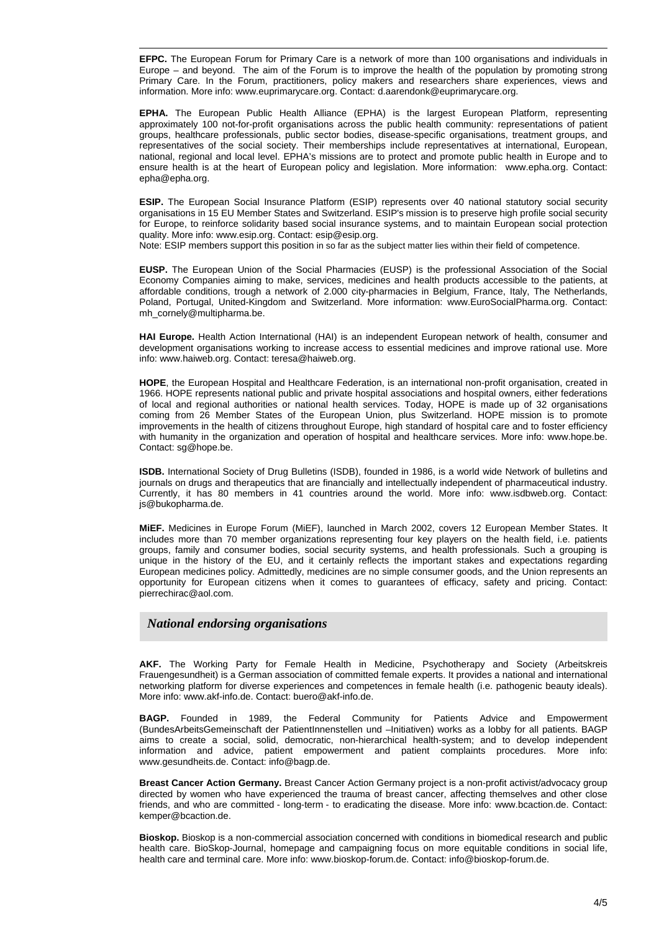1 **EFPC.** The European Forum for Primary Care is a network of more than 100 organisations and individuals in Europe – and beyond. The aim of the Forum is to improve the health of the population by promoting strong Primary Care. In the Forum, practitioners, policy makers and researchers share experiences, views and information. More info: www.euprimarycare.org. Contact: d.aarendonk@euprimarycare.org.

**EPHA.** The European Public Health Alliance (EPHA) is the largest European Platform, representing approximately 100 not-for-profit organisations across the public health community: representations of patient groups, healthcare professionals, public sector bodies, disease-specific organisations, treatment groups, and representatives of the social society. Their memberships include representatives at international, European, national, regional and local level. EPHA's missions are to protect and promote public health in Europe and to ensure health is at the heart of European policy and legislation. More information: www.epha.org. Contact: epha@epha.org.

**ESIP.** The European Social Insurance Platform (ESIP) represents over 40 national statutory social security organisations in 15 EU Member States and Switzerland. ESIP's mission is to preserve high profile social security for Europe, to reinforce solidarity based social insurance systems, and to maintain European social protection quality. More info: www.esip.org. Contact: esip@esip.org.

Note: ESIP members support this position in so far as the subject matter lies within their field of competence.

**EUSP.** The European Union of the Social Pharmacies (EUSP) is the professional Association of the Social Economy Companies aiming to make, services, medicines and health products accessible to the patients, at affordable conditions, trough a network of 2.000 city-pharmacies in Belgium, France, Italy, The Netherlands, Poland, Portugal, United-Kingdom and Switzerland. More information: www.EuroSocialPharma.org. Contact: mh\_cornely@multipharma.be.

**HAI Europe.** Health Action International (HAI) is an independent European network of health, consumer and development organisations working to increase access to essential medicines and improve rational use. More info: www.haiweb.org. Contact: teresa@haiweb.org.

**HOPE**, the European Hospital and Healthcare Federation, is an international non-profit organisation, created in 1966. HOPE represents national public and private hospital associations and hospital owners, either federations of local and regional authorities or national health services. Today, HOPE is made up of 32 organisations coming from 26 Member States of the European Union, plus Switzerland. HOPE mission is to promote improvements in the health of citizens throughout Europe, high standard of hospital care and to foster efficiency with humanity in the organization and operation of hospital and healthcare services. More info: www.hope.be. Contact: sg@hope.be.

**ISDB.** International Society of Drug Bulletins (ISDB), founded in 1986, is a world wide Network of bulletins and journals on drugs and therapeutics that are financially and intellectually independent of pharmaceutical industry. Currently, it has 80 members in 41 countries around the world. More info: www.isdbweb.org. Contact: js@bukopharma.de.

**MiEF.** Medicines in Europe Forum (MiEF), launched in March 2002, covers 12 European Member States. It includes more than 70 member organizations representing four key players on the health field, i.e. patients groups, family and consumer bodies, social security systems, and health professionals. Such a grouping is unique in the history of the EU, and it certainly reflects the important stakes and expectations regarding European medicines policy. Admittedly, medicines are no simple consumer goods, and the Union represents an opportunity for European citizens when it comes to guarantees of efficacy, safety and pricing. Contact: pierrechirac@aol.com.

### *National endorsing organisations*

**AKF.** The Working Party for Female Health in Medicine, Psychotherapy and Society (Arbeitskreis Frauengesundheit) is a German association of committed female experts. It provides a national and international networking platform for diverse experiences and competences in female health (i.e. pathogenic beauty ideals). More info: www.akf-info.de. Contact: buero@akf-info.de.

**BAGP.** Founded in 1989, the Federal Community for Patients Advice and Empowerment (BundesArbeitsGemeinschaft der PatientInnenstellen und –Initiativen) works as a lobby for all patients. BAGP aims to create a social, solid, democratic, non-hierarchical health-system; and to develop independent information and advice, patient empowerment and patient complaints procedures. More info: www.gesundheits.de. Contact: info@bagp.de.

**Breast Cancer Action Germany.** Breast Cancer Action Germany project is a non-profit activist/advocacy group directed by women who have experienced the trauma of breast cancer, affecting themselves and other close friends, and who are committed - long-term - to eradicating the disease. More info: www.bcaction.de. Contact: kemper@bcaction.de.

**Bioskop.** Bioskop is a non-commercial association concerned with conditions in biomedical research and public health care. BioSkop-Journal, homepage and campaigning focus on more equitable conditions in social life, health care and terminal care. More info: www.bioskop-forum.de. Contact: info@bioskop-forum.de.